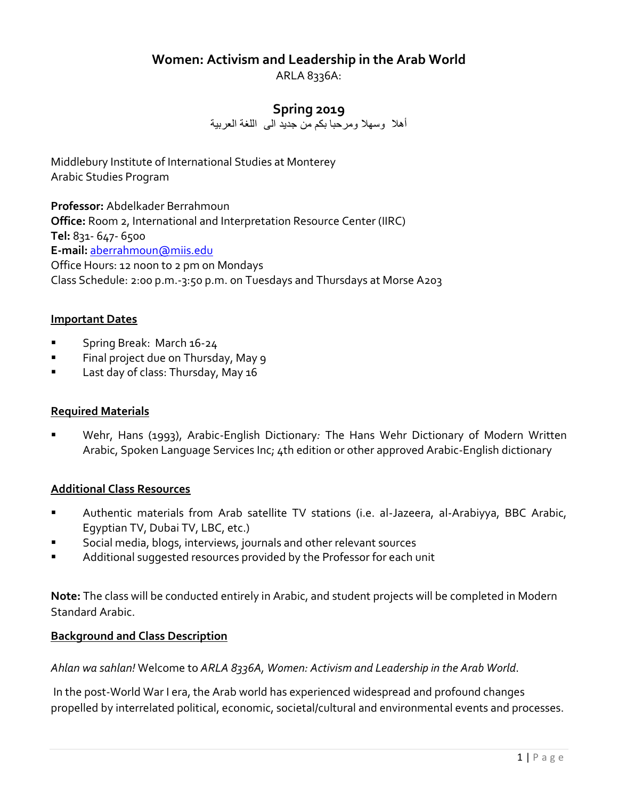## **Women: Activism and Leadership in the Arab World**

ARLA 8336A:

## **Spring 2019**

أهال وسهال ومرحبا بكم من جديد الى اللغة العربية

Middlebury Institute of International Studies at Monterey Arabic Studies Program

**Professor:** Abdelkader Berrahmoun **Office:** Room 2, International and Interpretation Resource Center (IIRC) **Tel:** 831- 647- 6500 **E-mail:** [aberrahmoun@miis.edu](mailto:aberrahmoun@miis.edu) Office Hours: 12 noon to 2 pm on Mondays Class Schedule: 2:00 p.m.-3:50 p.m. on Tuesdays and Thursdays at Morse A203

#### **Important Dates**

- Spring Break: March 16-24
- Final project due on Thursday, May 9
- Last day of class: Thursday, May 16

#### **Required Materials**

Wehr, Hans (1993), Arabic-English Dictionary: The Hans Wehr Dictionary of Modern Written Arabic, Spoken Language Services Inc; 4th edition or other approved Arabic-English dictionary

#### **Additional Class Resources**

- Authentic materials from Arab satellite TV stations (i.e. al-Jazeera, al-Arabiyya, BBC Arabic, Egyptian TV, Dubai TV, LBC, etc.)
- Social media, blogs, interviews, journals and other relevant sources
- Additional suggested resources provided by the Professor for each unit

**Note:** The class will be conducted entirely in Arabic, and student projects will be completed in Modern Standard Arabic.

#### **Background and Class Description**

*Ahlan wa sahlan!* Welcome to *ARLA 8336A, Women: Activism and Leadership in the Arab World*.

In the post-World War I era, the Arab world has experienced widespread and profound changes propelled by interrelated political, economic, societal/cultural and environmental events and processes.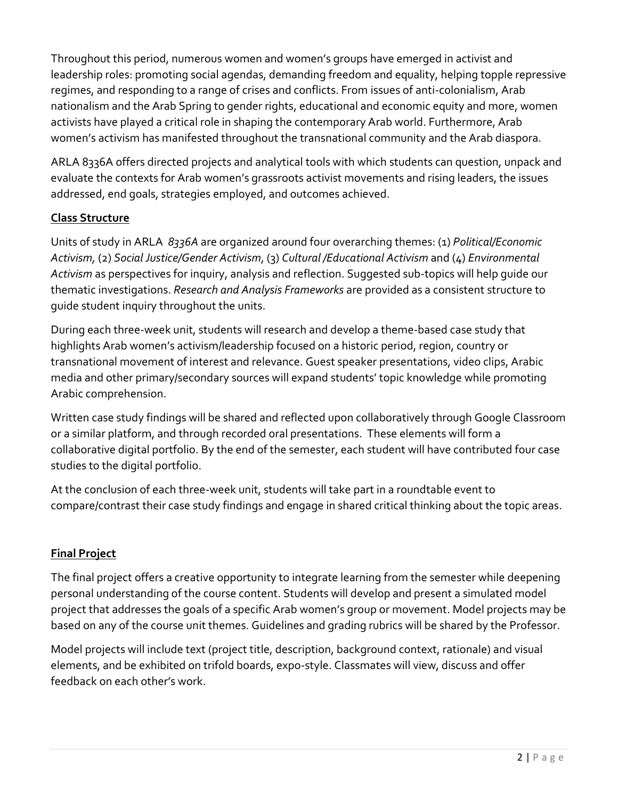Throughout this period, numerous women and women's groups have emerged in activist and leadership roles: promoting social agendas, demanding freedom and equality, helping topple repressive regimes, and responding to a range of crises and conflicts. From issues of anti-colonialism, Arab nationalism and the Arab Spring to gender rights, educational and economic equity and more, women activists have played a critical role in shaping the contemporary Arab world. Furthermore, Arab women's activism has manifested throughout the transnational community and the Arab diaspora.

ARLA 8336A offers directed projects and analytical tools with which students can question, unpack and evaluate the contexts for Arab women's grassroots activist movements and rising leaders, the issues addressed, end goals, strategies employed, and outcomes achieved.

## **Class Structure**

Units of study in ARLA *8336A* are organized around four overarching themes: (1) *Political/Economic Activism,* (2) *Social Justice/Gender Activism*, (3) *Cultural /Educational Activism* and (4) *Environmental Activism* as perspectives for inquiry, analysis and reflection. Suggested sub-topics will help guide our thematic investigations. *Research and Analysis Frameworks* are provided as a consistent structure to guide student inquiry throughout the units.

During each three-week unit, students will research and develop a theme-based case study that highlights Arab women's activism/leadership focused on a historic period, region, country or transnational movement of interest and relevance. Guest speaker presentations, video clips, Arabic media and other primary/secondary sources will expand students' topic knowledge while promoting Arabic comprehension.

Written case study findings will be shared and reflected upon collaboratively through Google Classroom or a similar platform, and through recorded oral presentations. These elements will form a collaborative digital portfolio. By the end of the semester, each student will have contributed four case studies to the digital portfolio.

At the conclusion of each three-week unit, students will take part in a roundtable event to compare/contrast their case study findings and engage in shared critical thinking about the topic areas.

## **Final Project**

The final project offers a creative opportunity to integrate learning from the semester while deepening personal understanding of the course content. Students will develop and present a simulated model project that addresses the goals of a specific Arab women's group or movement. Model projects may be based on any of the course unit themes. Guidelines and grading rubrics will be shared by the Professor.

Model projects will include text (project title, description, background context, rationale) and visual elements, and be exhibited on trifold boards, expo-style. Classmates will view, discuss and offer feedback on each other's work.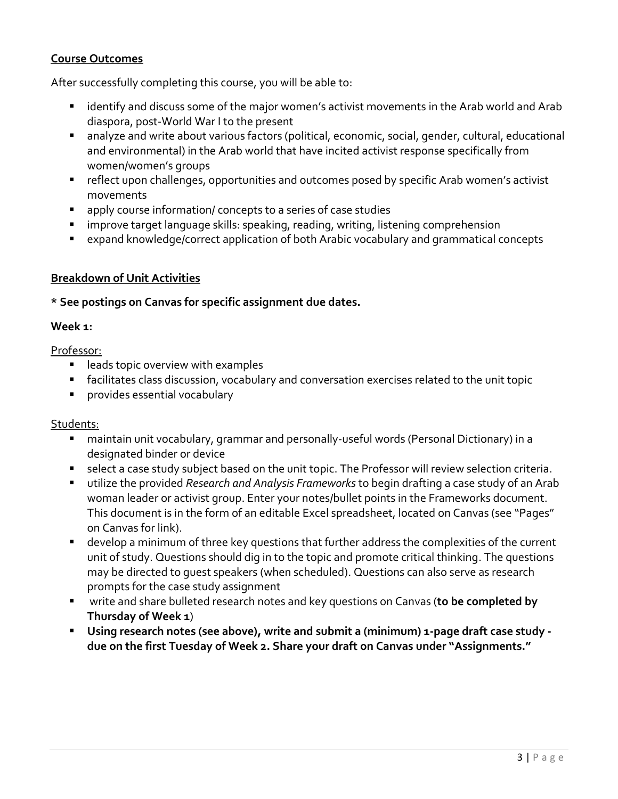## **Course Outcomes**

After successfully completing this course, you will be able to:

- identify and discuss some of the major women's activist movements in the Arab world and Arab diaspora, post-World War I to the present
- analyze and write about various factors (political, economic, social, gender, cultural, educational and environmental) in the Arab world that have incited activist response specifically from women/women's groups
- reflect upon challenges, opportunities and outcomes posed by specific Arab women's activist movements
- apply course information/ concepts to a series of case studies
- improve target language skills: speaking, reading, writing, listening comprehension
- expand knowledge/correct application of both Arabic vocabulary and grammatical concepts

#### **Breakdown of Unit Activities**

**\* See postings on Canvas for specific assignment due dates.**

#### **Week 1:**

Professor:

- leads topic overview with examples
- facilitates class discussion, vocabulary and conversation exercises related to the unit topic
- provides essential vocabulary

#### Students:

- maintain unit vocabulary, grammar and personally-useful words (Personal Dictionary) in a designated binder or device
- select a case study subject based on the unit topic. The Professor will review selection criteria.
- utilize the provided *Research and Analysis Frameworks* to begin drafting a case study of an Arab woman leader or activist group. Enter your notes/bullet points in the Frameworks document. This document is in the form of an editable Excel spreadsheet, located on Canvas (see "Pages" on Canvas for link).
- develop a minimum of three key questions that further address the complexities of the current unit of study. Questions should dig in to the topic and promote critical thinking. The questions may be directed to guest speakers (when scheduled). Questions can also serve as research prompts for the case study assignment
- write and share bulleted research notes and key questions on Canvas (to be completed by **Thursday of Week 1**)
- **Using research notes (see above), write and submit a (minimum) 1-page draft case study due on the first Tuesday of Week 2. Share your draft on Canvas under "Assignments."**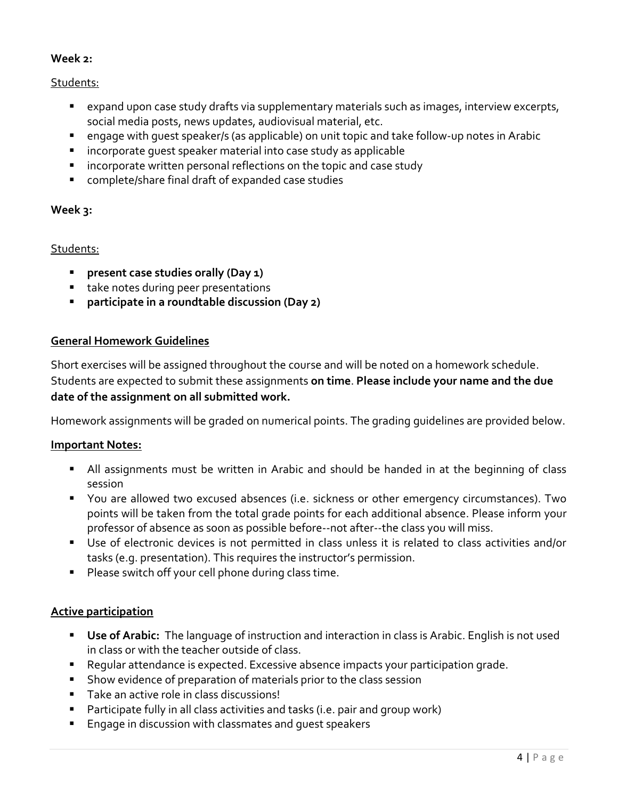## **Week 2:**

#### Students:

- expand upon case study drafts via supplementary materials such as images, interview excerpts, social media posts, news updates, audiovisual material, etc.
- engage with quest speaker/s (as applicable) on unit topic and take follow-up notes in Arabic
- incorporate quest speaker material into case study as applicable
- incorporate written personal reflections on the topic and case study
- complete/share final draft of expanded case studies

#### **Week 3:**

#### Students:

- **present case studies orally (Day 1)**
- take notes during peer presentations
- **participate in a roundtable discussion (Day 2)**

#### **General Homework Guidelines**

Short exercises will be assigned throughout the course and will be noted on a homework schedule. Students are expected to submit these assignments **on time**. **Please include your name and the due date of the assignment on all submitted work.** 

Homework assignments will be graded on numerical points. The grading guidelines are provided below.

#### **Important Notes:**

- All assignments must be written in Arabic and should be handed in at the beginning of class session
- You are allowed two excused absences (i.e. sickness or other emergency circumstances). Two points will be taken from the total grade points for each additional absence. Please inform your professor of absence as soon as possible before--not after--the class you will miss.
- Use of electronic devices is not permitted in class unless it is related to class activities and/or tasks (e.g. presentation). This requires the instructor's permission.
- Please switch off your cell phone during class time.

#### **Active participation**

- Use of Arabic: The language of instruction and interaction in class is Arabic. English is not used in class or with the teacher outside of class.
- Regular attendance is expected. Excessive absence impacts your participation grade.
- Show evidence of preparation of materials prior to the class session
- Take an active role in class discussions!
- Participate fully in all class activities and tasks (i.e. pair and group work)
- Engage in discussion with classmates and quest speakers